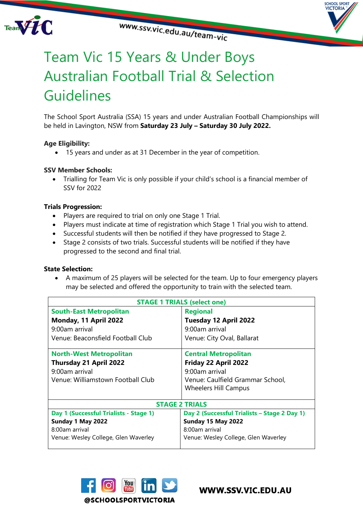



# Team Vic 15 Years & Under Boys Australian Football Trial & Selection Guidelines

The School Sport Australia (SSA) 15 years and under Australian Football Championships will be held in Lavington, NSW from **Saturday 23 July – Saturday 30 July 2022.**

# **Age Eligibility:**

• 15 years and under as at 31 December in the year of competition.

# **SSV Member Schools:**

• Trialling for Team Vic is only possible if your child's school is a financial member of SSV for 2022

#### **Trials Progression:**

- Players are required to trial on only one Stage 1 Trial.
- Players must indicate at time of registration which Stage 1 Trial you wish to attend.
- Successful students will then be notified if they have progressed to Stage 2.
- Stage 2 consists of two trials. Successful students will be notified if they have progressed to the second and final trial.

#### **State Selection:**

• A maximum of 25 players will be selected for the team. Up to four emergency players may be selected and offered the opportunity to train with the selected team.

| <b>STAGE 1 TRIALS (select one)</b>     |                                              |
|----------------------------------------|----------------------------------------------|
| <b>South-East Metropolitan</b>         | <b>Regional</b>                              |
| Monday, 11 April 2022                  | Tuesday 12 April 2022                        |
| 9:00am arrival                         | 9:00am arrival                               |
| Venue: Beaconsfield Football Club      | Venue: City Oval, Ballarat                   |
| <b>North-West Metropolitan</b>         | <b>Central Metropolitan</b>                  |
| <b>Thursday 21 April 2022</b>          | Friday 22 April 2022                         |
| 9:00am arrival                         | 9:00am arrival                               |
| Venue: Williamstown Football Club      | Venue: Caulfield Grammar School,             |
|                                        | <b>Wheelers Hill Campus</b>                  |
|                                        |                                              |
| <b>STAGE 2 TRIALS</b>                  |                                              |
| Day 1 (Successful Trialists - Stage 1) | Day 2 (Successful Trialists - Stage 2 Day 1) |
| Sunday 1 May 2022                      | <b>Sunday 15 May 2022</b>                    |
| 8:00am arrival                         | 8:00am arrival                               |
| Venue: Wesley College, Glen Waverley   | Venue: Wesley College, Glen Waverley         |



WWW.SSV.VIC.EDU.AU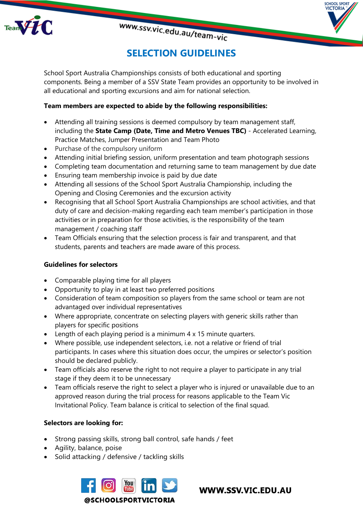

# **SELECTION GUIDELINES**

**SPORT** VICTORIA

School Sport Australia Championships consists of both educational and sporting components. Being a member of a SSV State Team provides an opportunity to be involved in all educational and sporting excursions and aim for national selection.

# **Team members are expected to abide by the following responsibilities:**

- Attending all training sessions is deemed compulsory by team management staff, including the **State Camp (Date, Time and Metro Venues TBC)** - Accelerated Learning, Practice Matches, Jumper Presentation and Team Photo
- Purchase of the compulsory uniform
- Attending initial briefing session, uniform presentation and team photograph sessions
- Completing team documentation and returning same to team management by due date
- Ensuring team membership invoice is paid by due date
- Attending all sessions of the School Sport Australia Championship, including the Opening and Closing Ceremonies and the excursion activity
- Recognising that all School Sport Australia Championships are school activities, and that duty of care and decision-making regarding each team member's participation in those activities or in preparation for those activities, is the responsibility of the team management / coaching staff
- Team Officials ensuring that the selection process is fair and transparent, and that students, parents and teachers are made aware of this process.

# **Guidelines for selectors**

- Comparable playing time for all players
- Opportunity to play in at least two preferred positions
- Consideration of team composition so players from the same school or team are not advantaged over individual representatives
- Where appropriate, concentrate on selecting players with generic skills rather than players for specific positions
- Length of each playing period is a minimum 4 x 15 minute quarters.
- Where possible, use independent selectors, i.e. not a relative or friend of trial participants. In cases where this situation does occur, the umpires or selector's position should be declared publicly.
- Team officials also reserve the right to not require a player to participate in any trial stage if they deem it to be unnecessary
- Team officials reserve the right to select a player who is injured or unavailable due to an approved reason during the trial process for reasons applicable to the Team Vic Invitational Policy. Team balance is critical to selection of the final squad.

# **Selectors are looking for:**

- Strong passing skills, strong ball control, safe hands / feet
- Agility, balance, poise
- Solid attacking / defensive / tackling skills



WWW.SSV.VIC.EDU.AU